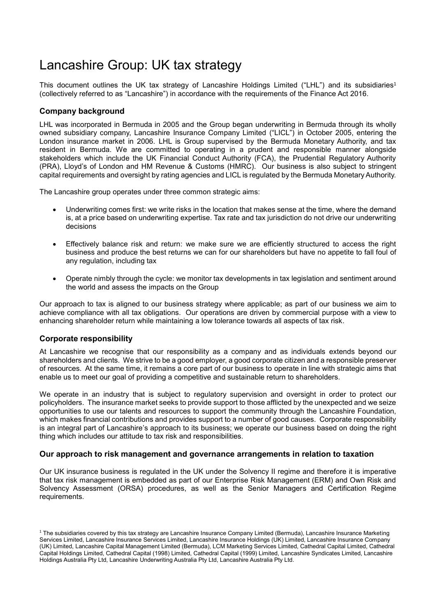# Lancashire Group: UK tax strategy

This document outlines the UK tax strategy of Lancashire Holdings Limited ("LHL") and its subsidiaries<sup>1</sup> (collectively referred to as "Lancashire") in accordance with the requirements of the Finance Act 2016.

## **Company background**

LHL was incorporated in Bermuda in 2005 and the Group began underwriting in Bermuda through its wholly owned subsidiary company, Lancashire Insurance Company Limited ("LICL") in October 2005, entering the London insurance market in 2006. LHL is Group supervised by the Bermuda Monetary Authority, and tax resident in Bermuda. We are committed to operating in a prudent and responsible manner alongside stakeholders which include the UK Financial Conduct Authority (FCA), the Prudential Regulatory Authority (PRA), Lloyd's of London and HM Revenue & Customs (HMRC). Our business is also subject to stringent capital requirements and oversight by rating agencies and LICL is regulated by the Bermuda Monetary Authority.

The Lancashire group operates under three common strategic aims:

- Underwriting comes first: we write risks in the location that makes sense at the time, where the demand is, at a price based on underwriting expertise. Tax rate and tax jurisdiction do not drive our underwriting decisions
- Effectively balance risk and return: we make sure we are efficiently structured to access the right business and produce the best returns we can for our shareholders but have no appetite to fall foul of any regulation, including tax
- Operate nimbly through the cycle: we monitor tax developments in tax legislation and sentiment around the world and assess the impacts on the Group

Our approach to tax is aligned to our business strategy where applicable; as part of our business we aim to achieve compliance with all tax obligations. Our operations are driven by commercial purpose with a view to enhancing shareholder return while maintaining a low tolerance towards all aspects of tax risk.

### **Corporate responsibility**

At Lancashire we recognise that our responsibility as a company and as individuals extends beyond our shareholders and clients. We strive to be a good employer, a good corporate citizen and a responsible preserver of resources. At the same time, it remains a core part of our business to operate in line with strategic aims that enable us to meet our goal of providing a competitive and sustainable return to shareholders.

We operate in an industry that is subject to regulatory supervision and oversight in order to protect our policyholders. The insurance market seeks to provide support to those afflicted by the unexpected and we seize opportunities to use our talents and resources to support the community through the Lancashire Foundation, which makes financial contributions and provides support to a number of good causes. Corporate responsibility is an integral part of Lancashire's approach to its business; we operate our business based on doing the right thing which includes our attitude to tax risk and responsibilities.

### **Our approach to risk management and governance arrangements in relation to taxation**

Our UK insurance business is regulated in the UK under the Solvency II regime and therefore it is imperative that tax risk management is embedded as part of our Enterprise Risk Management (ERM) and Own Risk and Solvency Assessment (ORSA) procedures, as well as the Senior Managers and Certification Regime requirements.

<sup>1</sup> The subsidiaries covered by this tax strategy are Lancashire Insurance Company Limited (Bermuda), Lancashire Insurance Marketing Services Limited, Lancashire Insurance Services Limited, Lancashire Insurance Holdings (UK) Limited, Lancashire Insurance Company (UK) Limited, Lancashire Capital Management Limited (Bermuda), LCM Marketing Services Limited, Cathedral Capital Limited, Cathedral Capital Holdings Limited, Cathedral Capital (1998) Limited, Cathedral Capital (1999) Limited, Lancashire Syndicates Limited, Lancashire Holdings Australia Pty Ltd, Lancashire Underwriting Australia Pty Ltd, Lancashire Australia Pty Ltd.